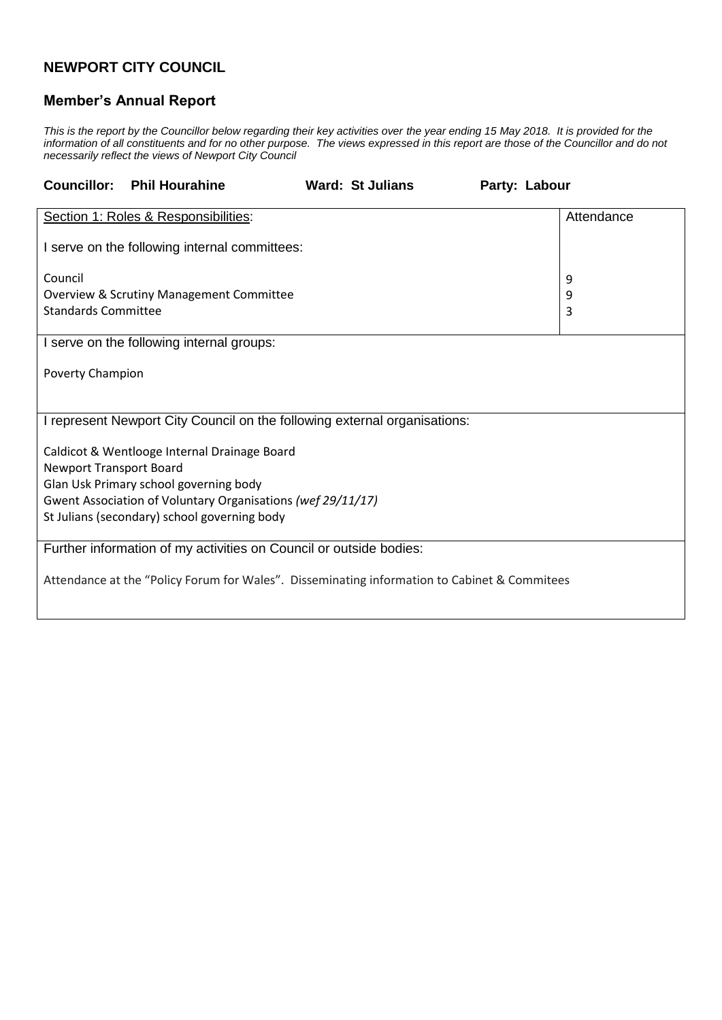## **NEWPORT CITY COUNCIL**

## **Member's Annual Report**

*This is the report by the Councillor below regarding their key activities over the year ending 15 May 2018. It is provided for the information of all constituents and for no other purpose. The views expressed in this report are those of the Councillor and do not necessarily reflect the views of Newport City Council*

| <b>Councillor:</b>                                                                           | <b>Phil Hourahine</b>                               |  | <b>Ward: St Julians</b> | Party: Labour |            |  |
|----------------------------------------------------------------------------------------------|-----------------------------------------------------|--|-------------------------|---------------|------------|--|
|                                                                                              | Section 1: Roles & Responsibilities:                |  |                         |               | Attendance |  |
| I serve on the following internal committees:                                                |                                                     |  |                         |               |            |  |
| Council                                                                                      |                                                     |  |                         |               | 9          |  |
|                                                                                              | <b>Overview &amp; Scrutiny Management Committee</b> |  |                         |               | 9          |  |
| <b>Standards Committee</b>                                                                   |                                                     |  |                         |               | 3          |  |
| I serve on the following internal groups:                                                    |                                                     |  |                         |               |            |  |
| Poverty Champion                                                                             |                                                     |  |                         |               |            |  |
|                                                                                              |                                                     |  |                         |               |            |  |
| I represent Newport City Council on the following external organisations:                    |                                                     |  |                         |               |            |  |
| Caldicot & Wentlooge Internal Drainage Board                                                 |                                                     |  |                         |               |            |  |
| <b>Newport Transport Board</b>                                                               |                                                     |  |                         |               |            |  |
| Glan Usk Primary school governing body                                                       |                                                     |  |                         |               |            |  |
| Gwent Association of Voluntary Organisations (wef 29/11/17)                                  |                                                     |  |                         |               |            |  |
|                                                                                              | St Julians (secondary) school governing body        |  |                         |               |            |  |
| Further information of my activities on Council or outside bodies:                           |                                                     |  |                         |               |            |  |
| Attendance at the "Policy Forum for Wales". Disseminating information to Cabinet & Commitees |                                                     |  |                         |               |            |  |
|                                                                                              |                                                     |  |                         |               |            |  |